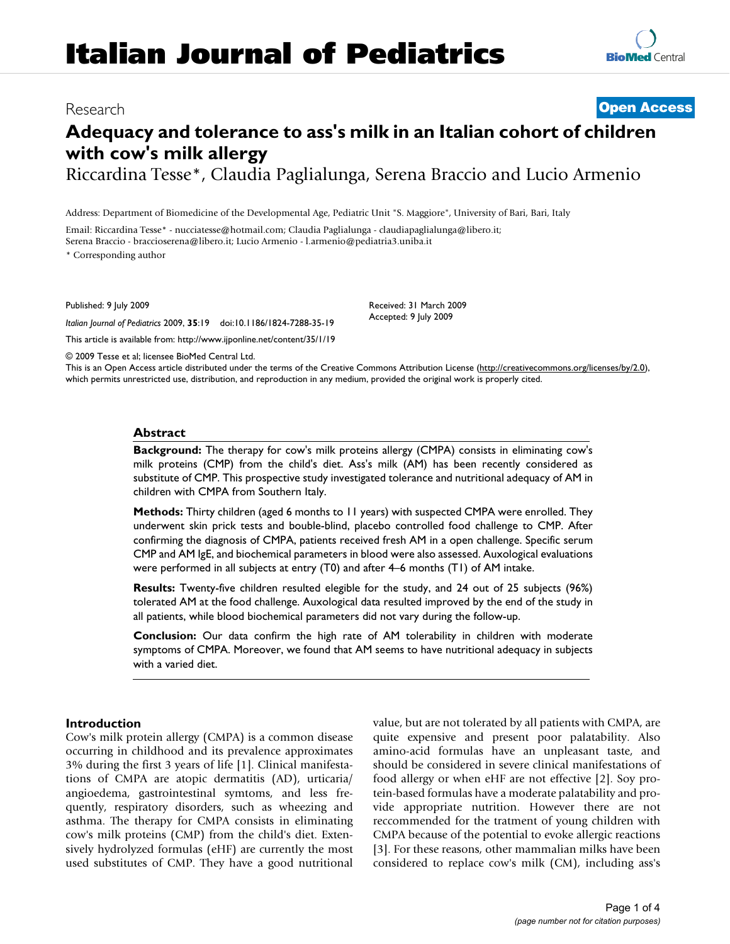# **Italian Journal of Pediatrics**

# Research **[Open Access](http://www.biomedcentral.com/info/about/charter/)**

# **Adequacy and tolerance to ass's milk in an Italian cohort of children with cow's milk allergy**

Riccardina Tesse\*, Claudia Paglialunga, Serena Braccio and Lucio Armenio

Address: Department of Biomedicine of the Developmental Age, Pediatric Unit "S. Maggiore", University of Bari, Bari, Italy

Email: Riccardina Tesse\* - nucciatesse@hotmail.com; Claudia Paglialunga - claudiapaglialunga@libero.it; Serena Braccio - braccioserena@libero.it; Lucio Armenio - l.armenio@pediatria3.uniba.it

\* Corresponding author

Published: 9 July 2009

*Italian Journal of Pediatrics* 2009, **35**:19 doi:10.1186/1824-7288-35-19

[This article is available from: http://www.ijponline.net/content/35/1/19](http://www.ijponline.net/content/35/1/19)

Received: 31 March 2009 Accepted: 9 July 2009

© 2009 Tesse et al; licensee BioMed Central Ltd.

This is an Open Access article distributed under the terms of the Creative Commons Attribution License [\(http://creativecommons.org/licenses/by/2.0\)](http://creativecommons.org/licenses/by/2.0), which permits unrestricted use, distribution, and reproduction in any medium, provided the original work is properly cited.

# **Abstract**

**Background:** The therapy for cow's milk proteins allergy (CMPA) consists in eliminating cow's milk proteins (CMP) from the child's diet. Ass's milk (AM) has been recently considered as substitute of CMP. This prospective study investigated tolerance and nutritional adequacy of AM in children with CMPA from Southern Italy.

**Methods:** Thirty children (aged 6 months to 11 years) with suspected CMPA were enrolled. They underwent skin prick tests and bouble-blind, placebo controlled food challenge to CMP. After confirming the diagnosis of CMPA, patients received fresh AM in a open challenge. Specific serum CMP and AM IgE, and biochemical parameters in blood were also assessed. Auxological evaluations were performed in all subjects at entry (T0) and after 4–6 months (T1) of AM intake.

**Results:** Twenty-five children resulted elegible for the study, and 24 out of 25 subjects (96%) tolerated AM at the food challenge. Auxological data resulted improved by the end of the study in all patients, while blood biochemical parameters did not vary during the follow-up.

**Conclusion:** Our data confirm the high rate of AM tolerability in children with moderate symptoms of CMPA. Moreover, we found that AM seems to have nutritional adequacy in subjects with a varied diet.

### **Introduction**

Cow's milk protein allergy (CMPA) is a common disease occurring in childhood and its prevalence approximates 3% during the first 3 years of life [1]. Clinical manifestations of CMPA are atopic dermatitis (AD), urticaria/ angioedema, gastrointestinal symtoms, and less frequently, respiratory disorders, such as wheezing and asthma. The therapy for CMPA consists in eliminating cow's milk proteins (CMP) from the child's diet. Extensively hydrolyzed formulas (eHF) are currently the most used substitutes of CMP. They have a good nutritional value, but are not tolerated by all patients with CMPA, are quite expensive and present poor palatability. Also amino-acid formulas have an unpleasant taste, and should be considered in severe clinical manifestations of food allergy or when eHF are not effective [2]. Soy protein-based formulas have a moderate palatability and provide appropriate nutrition. However there are not reccommended for the tratment of young children with CMPA because of the potential to evoke allergic reactions [3]. For these reasons, other mammalian milks have been considered to replace cow's milk (CM), including ass's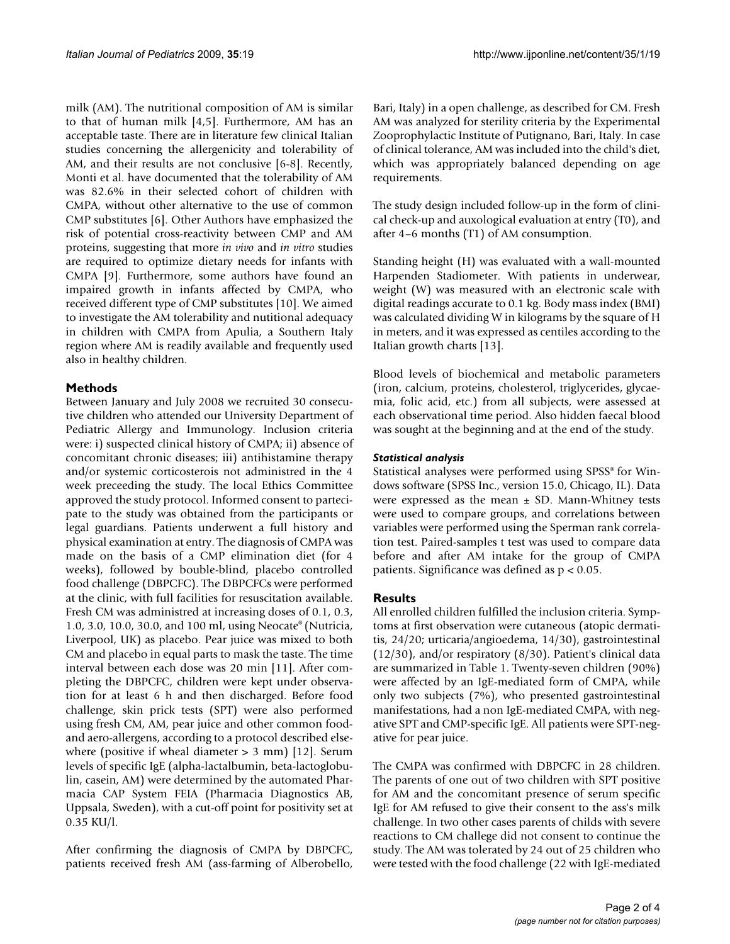milk (AM). The nutritional composition of AM is similar to that of human milk [4,5]. Furthermore, AM has an acceptable taste. There are in literature few clinical Italian studies concerning the allergenicity and tolerability of AM, and their results are not conclusive [6-8]. Recently, Monti et al. have documented that the tolerability of AM was 82.6% in their selected cohort of children with CMPA, without other alternative to the use of common CMP substitutes [6]. Other Authors have emphasized the risk of potential cross-reactivity between CMP and AM proteins, suggesting that more *in vivo* and *in vitro* studies are required to optimize dietary needs for infants with CMPA [9]. Furthermore, some authors have found an impaired growth in infants affected by CMPA, who received different type of CMP substitutes [10]. We aimed to investigate the AM tolerability and nutitional adequacy in children with CMPA from Apulia, a Southern Italy region where AM is readily available and frequently used also in healthy children.

# **Methods**

Between January and July 2008 we recruited 30 consecutive children who attended our University Department of Pediatric Allergy and Immunology. Inclusion criteria were: i) suspected clinical history of CMPA; ii) absence of concomitant chronic diseases; iii) antihistamine therapy and/or systemic corticosterois not administred in the 4 week preceeding the study. The local Ethics Committee approved the study protocol. Informed consent to partecipate to the study was obtained from the participants or legal guardians. Patients underwent a full history and physical examination at entry. The diagnosis of CMPA was made on the basis of a CMP elimination diet (for 4 weeks), followed by bouble-blind, placebo controlled food challenge (DBPCFC). The DBPCFCs were performed at the clinic, with full facilities for resuscitation available. Fresh CM was administred at increasing doses of 0.1, 0.3, 1.0, 3.0, 10.0, 30.0, and 100 ml, using Neocate® (Nutricia, Liverpool, UK) as placebo. Pear juice was mixed to both CM and placebo in equal parts to mask the taste. The time interval between each dose was 20 min [11]. After completing the DBPCFC, children were kept under observation for at least 6 h and then discharged. Before food challenge, skin prick tests (SPT) were also performed using fresh CM, AM, pear juice and other common foodand aero-allergens, according to a protocol described elsewhere (positive if wheal diameter  $> 3$  mm) [12]. Serum levels of specific IgE (alpha-lactalbumin, beta-lactoglobulin, casein, AM) were determined by the automated Pharmacia CAP System FEIA (Pharmacia Diagnostics AB, Uppsala, Sweden), with a cut-off point for positivity set at 0.35 KU/l.

After confirming the diagnosis of CMPA by DBPCFC, patients received fresh AM (ass-farming of Alberobello, Bari, Italy) in a open challenge, as described for CM. Fresh AM was analyzed for sterility criteria by the Experimental Zooprophylactic Institute of Putignano, Bari, Italy. In case of clinical tolerance, AM was included into the child's diet, which was appropriately balanced depending on age requirements.

The study design included follow-up in the form of clinical check-up and auxological evaluation at entry (T0), and after 4–6 months (T1) of AM consumption.

Standing height (H) was evaluated with a wall-mounted Harpenden Stadiometer. With patients in underwear, weight (W) was measured with an electronic scale with digital readings accurate to 0.1 kg. Body mass index (BMI) was calculated dividing W in kilograms by the square of H in meters, and it was expressed as centiles according to the Italian growth charts [13].

Blood levels of biochemical and metabolic parameters (iron, calcium, proteins, cholesterol, triglycerides, glycaemia, folic acid, etc.) from all subjects, were assessed at each observational time period. Also hidden faecal blood was sought at the beginning and at the end of the study.

# *Statistical analysis*

Statistical analyses were performed using SPSS® for Windows software (SPSS Inc., version 15.0, Chicago, IL). Data were expressed as the mean  $\pm$  SD. Mann-Whitney tests were used to compare groups, and correlations between variables were performed using the Sperman rank correlation test. Paired-samples t test was used to compare data before and after AM intake for the group of CMPA patients. Significance was defined as p < 0.05.

# **Results**

All enrolled children fulfilled the inclusion criteria. Symptoms at first observation were cutaneous (atopic dermatitis, 24/20; urticaria/angioedema, 14/30), gastrointestinal (12/30), and/or respiratory (8/30). Patient's clinical data are summarized in Table 1. Twenty-seven children (90%) were affected by an IgE-mediated form of CMPA, while only two subjects (7%), who presented gastrointestinal manifestations, had a non IgE-mediated CMPA, with negative SPT and CMP-specific IgE. All patients were SPT-negative for pear juice.

The CMPA was confirmed with DBPCFC in 28 children. The parents of one out of two children with SPT positive for AM and the concomitant presence of serum specific IgE for AM refused to give their consent to the ass's milk challenge. In two other cases parents of childs with severe reactions to CM challege did not consent to continue the study. The AM was tolerated by 24 out of 25 children who were tested with the food challenge (22 with IgE-mediated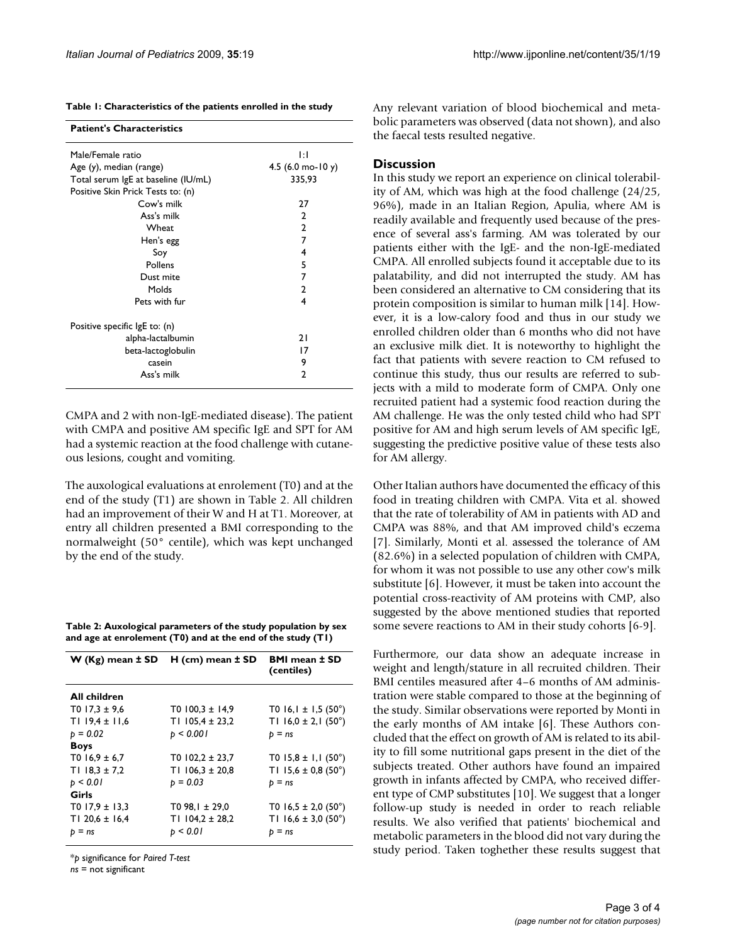| <b>Patient's Characteristics</b>    |                                       |
|-------------------------------------|---------------------------------------|
| Male/Female ratio                   | ΙĦ                                    |
| Age (y), median (range)             | 4.5 $(6.0 \text{ mo} - 10 \text{ y})$ |
| Total serum IgE at baseline (IU/mL) | 335,93                                |
| Positive Skin Prick Tests to: (n)   |                                       |
| Cow's milk                          | 27                                    |
| Ass's milk                          | $\mathfrak{p}$                        |
| Wheat                               | $\mathbf{2}$                          |
| Hen's egg                           | 7                                     |
| Soy                                 | 4                                     |
| Pollens                             | 5                                     |
| Dust mite                           | 7                                     |
| Molds                               | 2                                     |
| Pets with fur                       | 4                                     |
| Positive specific lgE to: (n)       |                                       |
| alpha-lactalbumin                   | 21                                    |
| beta-lactoglobulin                  | 17                                    |
| casein                              | 9                                     |
| Ass's milk                          | 2                                     |
|                                     |                                       |

CMPA and 2 with non-IgE-mediated disease). The patient with CMPA and positive AM specific IgE and SPT for AM had a systemic reaction at the food challenge with cutaneous lesions, cought and vomiting.

The auxological evaluations at enrolement (T0) and at the end of the study (T1) are shown in Table 2. All children had an improvement of their W and H at T1. Moreover, at entry all children presented a BMI corresponding to the normalweight (50° centile), which was kept unchanged by the end of the study.

**Table 2: Auxological parameters of the study population by sex and age at enrolement (T0) and at the end of the study (T1)**

|                     | $W(Kg)$ mean $\pm$ SD H (cm) mean $\pm$ SD | <b>BMI</b> mean ± SD<br>(centiles) |
|---------------------|--------------------------------------------|------------------------------------|
| All children        |                                            |                                    |
| $T0$ 17,3 $\pm$ 9,6 | T0 $100.3 \pm 14.9$                        | T0 $16,1 \pm 1,5$ (50°)            |
| $T119.4 \pm 11.6$   | T1 $105,4 \pm 23,2$                        | T1 $16.0 \pm 2.1$ (50°)            |
| $p = 0.02$          | p < 0.001                                  | $p = ns$                           |
| <b>Boys</b>         |                                            |                                    |
| T0 $16,9 \pm 6,7$   | $T0102,2 \pm 23,7$                         | T0 $15,8 \pm 1,1$ (50°)            |
| T1 $18.3 \pm 7.2$   | TI $106.3 \pm 20.8$                        | T1 15,6 $\pm$ 0,8 (50°)            |
| p < 0.01            | $p = 0.03$                                 | $p = ns$                           |
| Girls               |                                            |                                    |
| $T0$ 17,9 ± 13,3    | T0 98, $1 \pm 29.0$                        | T0 $16,5 \pm 2,0$ (50°)            |
| T1 20,6 $\pm$ 16,4  | TI $104.2 \pm 28.2$                        | T1 $16.6 \pm 3.0$ (50°)            |
| $p = ns$            | p < 0.01                                   | $p = ns$                           |

\**p* significance for *Paired T-test*

*ns* = not significant

Any relevant variation of blood biochemical and metabolic parameters was observed (data not shown), and also the faecal tests resulted negative.

## **Discussion**

In this study we report an experience on clinical tolerability of AM, which was high at the food challenge (24/25, 96%), made in an Italian Region, Apulia, where AM is readily available and frequently used because of the presence of several ass's farming. AM was tolerated by our patients either with the IgE- and the non-IgE-mediated CMPA. All enrolled subjects found it acceptable due to its palatability, and did not interrupted the study. AM has been considered an alternative to CM considering that its protein composition is similar to human milk [14]. However, it is a low-calory food and thus in our study we enrolled children older than 6 months who did not have an exclusive milk diet. It is noteworthy to highlight the fact that patients with severe reaction to CM refused to continue this study, thus our results are referred to subjects with a mild to moderate form of CMPA. Only one recruited patient had a systemic food reaction during the AM challenge. He was the only tested child who had SPT positive for AM and high serum levels of AM specific IgE, suggesting the predictive positive value of these tests also for AM allergy.

Other Italian authors have documented the efficacy of this food in treating children with CMPA. Vita et al. showed that the rate of tolerability of AM in patients with AD and CMPA was 88%, and that AM improved child's eczema [7]. Similarly, Monti et al. assessed the tolerance of AM (82.6%) in a selected population of children with CMPA, for whom it was not possible to use any other cow's milk substitute [6]. However, it must be taken into account the potential cross-reactivity of AM proteins with CMP, also suggested by the above mentioned studies that reported some severe reactions to AM in their study cohorts [6-9].

Furthermore, our data show an adequate increase in weight and length/stature in all recruited children. Their BMI centiles measured after 4–6 months of AM administration were stable compared to those at the beginning of the study. Similar observations were reported by Monti in the early months of AM intake [6]. These Authors concluded that the effect on growth of AM is related to its ability to fill some nutritional gaps present in the diet of the subjects treated. Other authors have found an impaired growth in infants affected by CMPA, who received different type of CMP substitutes [10]. We suggest that a longer follow-up study is needed in order to reach reliable results. We also verified that patients' biochemical and metabolic parameters in the blood did not vary during the study period. Taken toghether these results suggest that